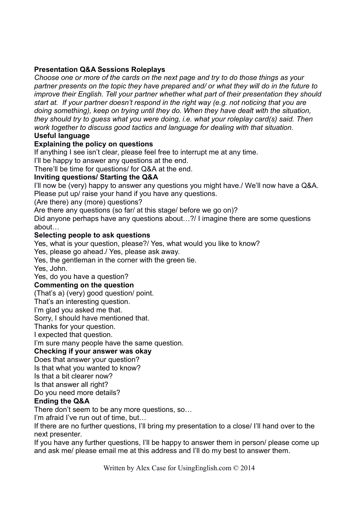## **Presentation Q&A Sessions Roleplays**

*Choose one or more of the cards on the next page and try to do those things as your partner presents on the topic they have prepared and/ or what they will do in the future to improve their English. Tell your partner whether what part of their presentation they should start at. If your partner doesn't respond in the right way (e.g. not noticing that you are doing something), keep on trying until they do. When they have dealt with the situation, they should try to guess what you were doing, i.e. what your roleplay card(s) said. Then work together to discuss good tactics and language for dealing with that situation.* 

## **Useful language**

## **Explaining the policy on questions**

If anything I see isn't clear, please feel free to interrupt me at any time.

I'll be happy to answer any questions at the end.

There'll be time for questions/ for Q&A at the end.

### **Inviting questions/ Starting the Q&A**

I'll now be (very) happy to answer any questions you might have./ We'll now have a Q&A. Please put up/ raise your hand if you have any questions.

(Are there) any (more) questions?

Are there any questions (so far/ at this stage/ before we go on)?

Did anyone perhaps have any questions about…?/ I imagine there are some questions about…

### **Selecting people to ask questions**

Yes, what is your question, please?/ Yes, what would you like to know?

Yes, please go ahead./ Yes, please ask away.

Yes, the gentleman in the corner with the green tie.

Yes, John.

Yes, do you have a question?

#### **Commenting on the question**

(That's a) (very) good question/ point.

That's an interesting question.

I'm glad you asked me that.

Sorry, I should have mentioned that.

Thanks for your question.

I expected that question.

I'm sure many people have the same question.

# **Checking if your answer was okay**

Does that answer your question?

Is that what you wanted to know?

Is that a bit clearer now?

Is that answer all right?

Do you need more details?

## **Ending the Q&A**

There don't seem to be any more questions, so…

I'm afraid I've run out of time, but…

If there are no further questions, I'll bring my presentation to a close/ I'll hand over to the next presenter.

If you have any further questions, I'll be happy to answer them in person/ please come up and ask me/ please email me at this address and I'll do my best to answer them.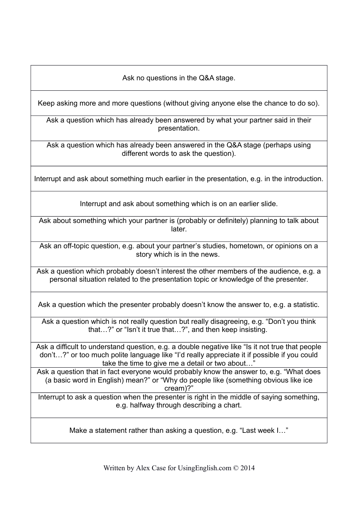Ask no questions in the Q&A stage.

Keep asking more and more questions (without giving anyone else the chance to do so).

Ask a question which has already been answered by what your partner said in their presentation.

Ask a question which has already been answered in the Q&A stage (perhaps using different words to ask the question).

Interrupt and ask about something much earlier in the presentation, e.g. in the introduction.

Interrupt and ask about something which is on an earlier slide.

Ask about something which your partner is (probably or definitely) planning to talk about later.

Ask an off-topic question, e.g. about your partner's studies, hometown, or opinions on a story which is in the news.

Ask a question which probably doesn't interest the other members of the audience, e.g. a personal situation related to the presentation topic or knowledge of the presenter.

Ask a question which the presenter probably doesn't know the answer to, e.g. a statistic.

Ask a question which is not really question but really disagreeing, e.g. "Don't you think that…?" or "Isn't it true that…?", and then keep insisting.

Ask a difficult to understand question, e.g. a double negative like "Is it not true that people don't…?" or too much polite language like "I'd really appreciate it if possible if you could take the time to give me a detail or two about…"

Ask a question that in fact everyone would probably know the answer to, e.g. "What does (a basic word in English) mean?" or "Why do people like (something obvious like ice cream)?"

Interrupt to ask a question when the presenter is right in the middle of saying something, e.g. halfway through describing a chart.

Make a statement rather than asking a question, e.g. "Last week I…"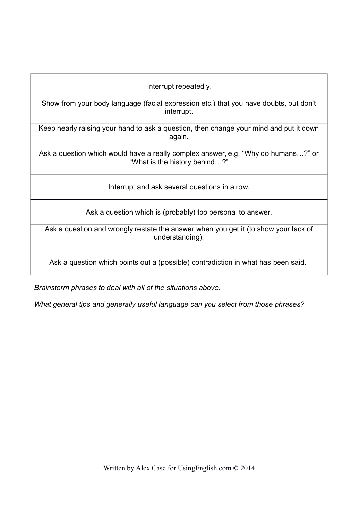Show from your body language (facial expression etc.) that you have doubts, but don't interrupt.

Keep nearly raising your hand to ask a question, then change your mind and put it down again.

Ask a question which would have a really complex answer, e.g. "Why do humans…?" or "What is the history behind…?"

Interrupt and ask several questions in a row.

Ask a question which is (probably) too personal to answer.

Ask a question and wrongly restate the answer when you get it (to show your lack of understanding).

Ask a question which points out a (possible) contradiction in what has been said.

*Brainstorm phrases to deal with all of the situations above.*

*What general tips and generally useful language can you select from those phrases?*